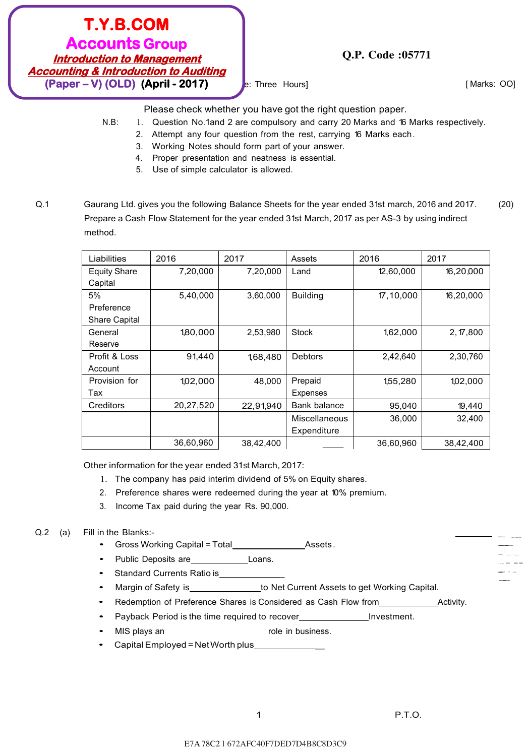#### E7A 78C2 l 672AFC40F7DED7D4B8C8D3C9

# **T.Y.B.COM Accounts Group Introduction to Management Accounting & Introduction to Auditing (Paper – V) (OLD) (April - 2017)**

e: Three Hours] e: Three Hours and the matter of the matter of the matter of the matter of the matter of the matter of the matter of the matter of the matter of the matter of the matter of the matter of the matter of the m

-- ---  $-$ - $-$ ---<br>- ..... ·-- - -- --··- --<br>--<br>--

Please check whether you have got the right question paper.

N.B: 1. Question No.1and 2 are compulsory and carry 20 Marks and 16 Marks respectively.

**Q.P. Code :05771**

- 2. Attempt any four question from the rest, carrying 16 Marks each.
- 3. Working Notes should form part of your answer.
- 4. Proper presentation and neatness is essential.
- 5. Use of simple calculator is allowed.
- Q.1 Gaurang Ltd. gives you the following Balance Sheets for the year ended 31st march, 2016 and 2017. Prepare a Cash Flow Statement for the year ended 31st March, 2017 as per AS-3 by using indirect method. (20)

| Liabilities          | 2016      | 2017      | Assets               | 2016      | 2017      |
|----------------------|-----------|-----------|----------------------|-----------|-----------|
| <b>Equity Share</b>  | 7,20,000  | 7,20,000  | Land                 | 12,60,000 | 16,20,000 |
| Capital              |           |           |                      |           |           |
| 5%                   | 5,40,000  | 3.60.000  | <b>Building</b>      | 17,10,000 | 16,20,000 |
| Preference           |           |           |                      |           |           |
| <b>Share Capital</b> |           |           |                      |           |           |
| General              | 1,80,000  | 2,53,980  | <b>Stock</b>         | 1,62,000  | 2, 17,800 |
| Reserve              |           |           |                      |           |           |
| Profit & Loss        | 91,440    | 1,68,480  | <b>Debtors</b>       | 2,42,640  | 2,30,760  |
| Account              |           |           |                      |           |           |
| Provision for        | 1,02,000  | 48,000    | Prepaid              | 1,55,280  | 1,02,000  |
| Tax                  |           |           | Expenses             |           |           |
| Creditors            | 20,27,520 | 22,91,940 | Bank balance         | 95,040    | 19,440    |
|                      |           |           | <b>Miscellaneous</b> | 36,000    | 32,400    |
|                      |           |           | Expenditure          |           |           |
|                      | 36,60,960 | 38,42,400 |                      | 36,60,960 | 38,42,400 |

Other information for the year ended 31st March, 2017:

- 1. The company has paid interim dividend of 5% on Equity shares.
- 2. Preference shares were redeemed during the year at 10% premium.
- 3. Income Tax paid during the year Rs. 90,000.

#### Q.2 (a) Fill in the Blanks:-

- Gross Working Capital = Total **Assets**.
- Public Deposits are **Loans**.
- Standard Currents Ratio is\_
- Margin of Safety is the Net Current Assets to get Working Capital.
- Redemption of Preference Shares is Considered as Cash Flow from Activity.
- Payback Period is the time required to recover\_\_\_\_\_\_\_\_\_\_\_\_\_\_\_\_\_Investment.
- MIS plays an The role in business.
- Capital Employed = Net Worth plus\_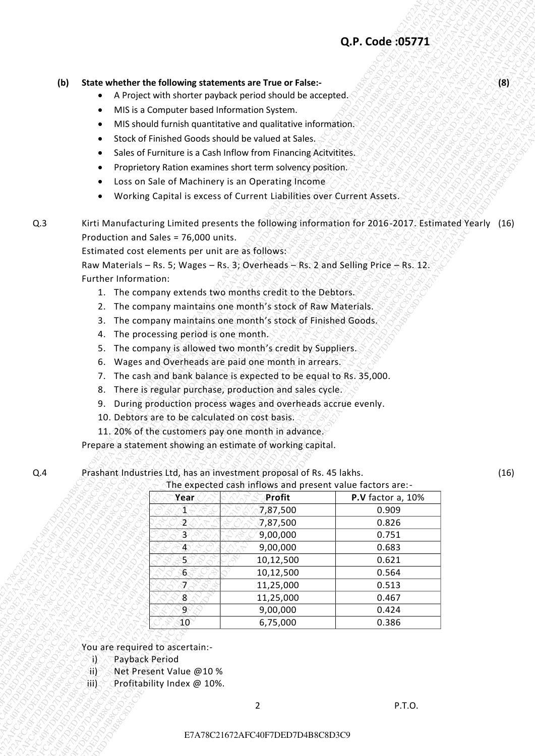#### **(b) State whether the following statements are True or False:-** (8) A SO A SO A SO A SO A SO STATE **(8)**

- A Project with shorter payback period should be accepted.
- MIS is a Computer based Information System.
- MIS should furnish quantitative and qualitative information.
- Stock of Finished Goods should be valued at Sales.
- Sales of Furniture is a Cash Inflow from Financing Acityitites.
- Proprietory Ration examines short term solvency position.
- Loss on Sale of Machinery is an Operating Income
- Working Capital is excess of Current Liabilities over Current Assets.
- Q.3 Kirti Manufacturing Limited presents the following information for 2016-2017. Estimated Yearly (16) Production and Sales = 76,000 units.

- 1. The company extends two months credit to the Debtors.
- 2. The company maintains one month's stock of Raw Materials.
- 3. The company maintains one month's stock of Finished Goods.
- 4. The processing period is one month.
- 5. The company is allowed two month's credit by Suppliers.
- 6. Wages and Overheads are paid one month in arrears.
- 7. The cash and bank balance is expected to be equal to Rs. 35,000.
- 8. There is regular purchase, production and sales cycle.
- 9. During production process wages and overheads accrue evenly.
- 10. Debtors are to be calculated on cost basis.
- 11. 20% of the customers pay one month in advance.

#### Q.4 Prashant Industries Ltd, has an investment proposal of Rs. 45 lakhs.

|     |     |                        |                                                                                          |                                                                                                                              | Q.P. Code : 05771                                                                                   |      |
|-----|-----|------------------------|------------------------------------------------------------------------------------------|------------------------------------------------------------------------------------------------------------------------------|-----------------------------------------------------------------------------------------------------|------|
|     |     |                        |                                                                                          |                                                                                                                              |                                                                                                     |      |
|     | (b) | $\bullet$              |                                                                                          | State whether the following statements are True or False:-<br>A Project with shorter payback period should be accepted.      |                                                                                                     | (8)  |
|     |     | $\bullet$              | MIS is a Computer based Information System.                                              |                                                                                                                              |                                                                                                     |      |
|     |     | $\bullet$              |                                                                                          | MIS should furnish quantitative and qualitative information.                                                                 |                                                                                                     |      |
|     |     | $\bullet$              |                                                                                          | Stock of Finished Goods should be valued at Sales.                                                                           |                                                                                                     |      |
|     |     | $\bullet$<br>$\bullet$ |                                                                                          | Sales of Furniture is a Cash Inflow from Financing Acityitites.<br>Proprietory Ration examines short term solvency position. |                                                                                                     |      |
|     |     | $\bullet$              |                                                                                          | Loss on Sale of Machinery is an Operating Income                                                                             |                                                                                                     |      |
|     |     | ٠                      |                                                                                          | Working Capital is excess of Current Liabilities over Current Assets.                                                        |                                                                                                     |      |
| Q.3 |     |                        |                                                                                          |                                                                                                                              | Kirti Manufacturing Limited presents the following information for 2016-2017. Estimated Yearly (16) |      |
|     |     |                        | Production and Sales = 76,000 units.<br>Estimated cost elements per unit are as follows: |                                                                                                                              |                                                                                                     |      |
|     |     |                        |                                                                                          |                                                                                                                              | Raw Materials - Rs. 5; Wages - Rs. 3; Overheads - Rs. 2 and Selling Price $-$ Rs. 12.               |      |
|     |     | Further Information:   |                                                                                          |                                                                                                                              |                                                                                                     |      |
|     |     |                        |                                                                                          | 1. The company extends two months credit to the Debtors.<br>2. The company maintains one month's stock of Raw Materials.     |                                                                                                     |      |
|     |     |                        |                                                                                          | 3. The company maintains one month's stock of Finished Goods.                                                                |                                                                                                     |      |
|     |     | 4.                     | The processing period is one month.                                                      |                                                                                                                              |                                                                                                     |      |
|     |     | 5.                     |                                                                                          | The company is allowed two month's credit by Suppliers.                                                                      |                                                                                                     |      |
|     |     | 6.                     |                                                                                          | Wages and Overheads are paid one month in arrears.<br>7. The cash and bank balance is expected to be equal to Rs. 35,000.    |                                                                                                     |      |
|     |     | 8.                     |                                                                                          | There is regular purchase, production and sales cycle.                                                                       |                                                                                                     |      |
|     |     | 9.                     |                                                                                          | During production process wages and overheads accrue evenly.                                                                 |                                                                                                     |      |
|     |     |                        | 10. Debtors are to be calculated on cost basis.                                          |                                                                                                                              |                                                                                                     |      |
|     |     |                        |                                                                                          | 11. 20% of the customers pay one month in advance.<br>Prepare a statement showing an estimate of working capital.            |                                                                                                     |      |
|     |     |                        |                                                                                          | Prashant Industries Ltd, has an investment proposal of Rs. 45 lakhs.                                                         |                                                                                                     | (16) |
|     |     |                        |                                                                                          | The expected cash inflows and present value factors are:-                                                                    |                                                                                                     |      |
| Q.4 |     |                        |                                                                                          |                                                                                                                              |                                                                                                     |      |
|     |     |                        | Year                                                                                     | Profit                                                                                                                       | P.V factor a, 10%                                                                                   |      |
|     |     |                        | $\mathcal{I}$<br>2                                                                       | 7,87,500<br>7,87,500                                                                                                         | 0.909<br>0.826                                                                                      |      |
|     |     |                        | 3                                                                                        | 9,00,000                                                                                                                     | 0.751                                                                                               |      |
|     |     |                        | $\overline{4}$<br>5.                                                                     | 9,00,000                                                                                                                     | 0.683<br>0.621                                                                                      |      |
|     |     |                        | $6\phantom{1}$                                                                           | 10,12,500<br>10,12,500                                                                                                       | 0.564                                                                                               |      |
|     |     |                        | Ī.                                                                                       | 11,25,000                                                                                                                    | 0.513                                                                                               |      |
|     |     |                        | 8<br>$\overline{9}$                                                                      | 11,25,000<br>9,00,000                                                                                                        | 0.467<br>0.424                                                                                      |      |
|     |     |                        | $40^\circ$                                                                               | 6,75,000                                                                                                                     | 0.386                                                                                               |      |
|     |     |                        | You are required to ascertain:-                                                          |                                                                                                                              |                                                                                                     |      |
|     |     | Payback Period<br>Ï}   |                                                                                          |                                                                                                                              |                                                                                                     |      |
|     |     | 51).                   | Net Present Value @10 %                                                                  |                                                                                                                              |                                                                                                     |      |
|     |     | [j])                   | Profitability Index @ 10%.                                                               | $\overline{2}$                                                                                                               | P.T.O.                                                                                              |      |

- i) Payback Period
- ii) Net Present Value @10 %
- iii) Profitability Index @ 10%.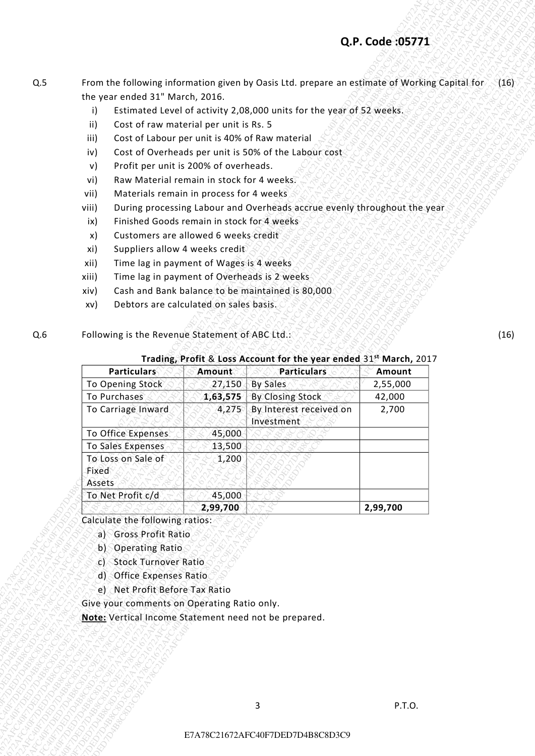## **Q.P. Code :05771**

- Q.5 From the following information given by Oasis Ltd. prepare an estimate of Working Capital for  $\setminus$  (16) the year ended 31" March, 2016.
	- i) Estimated Level of activity 2,08,000 units for the year of 52 weeks.
	- ii) Cost of raw material per unit is Rs. 5
	- iii) Cost of Labour per unit is 40% of Raw material
	- iv) Cost of Overheads per unit is 50% of the Labour cost
	- v) Profit per unit is 200% of overheads.
	- vi) Raw Material remain in stock for 4 weeks.
	- vii) Materials remain in process for 4 weeks
	- viii) During processing Labour and Overheads accrue evenly throughout the year
	- ix) Finished Goods remain in stock for 4 weeks
	- x) Customers are allowed 6 weeks credit
	- xi) Suppliers allow 4 weeks credit
	- xii) Time lag in payment of Wages is 4 weeks
	- xiii) Time lag in payment of Overheads is 2 weeks
	- xiv) Cash and Bank balance to be maintained is 80,000
	- xv) Debtors are calculated on sales basis.
- Q.6 Following is the Revenue Statement of ABC Ltd.:

# (16)

### **Trading, Profit** & **Loss Account for the year ended** 31**st March,** 2017

|     |                                                                                     |          |                                                                                               | Q.P. Code : 05771  |      |
|-----|-------------------------------------------------------------------------------------|----------|-----------------------------------------------------------------------------------------------|--------------------|------|
|     |                                                                                     |          |                                                                                               |                    |      |
| Q.5 |                                                                                     |          | From the following information given by Oasis Ltd. prepare an estimate of Working Capital for |                    | (16) |
|     | the year ended 31" March, 2016.<br>i)                                               |          | Estimated Level of activity 2,08,000 units for the year of 52 weeks.                          |                    |      |
|     | Cost of raw material per unit is Rs. 5<br>ii)                                       |          |                                                                                               |                    |      |
|     | Cost of Labour per unit is 40% of Raw material<br>iii)                              |          |                                                                                               |                    |      |
|     | iv)<br>Profit per unit is 200% of overheads.<br>v)                                  |          | Cost of Overheads per unit is 50% of the Labour cost                                          |                    |      |
|     | Raw Material remain in stock for 4 weeks?<br>vi)                                    |          |                                                                                               |                    |      |
|     | Materials remain in process for 4 weeks<br>vii)                                     |          |                                                                                               |                    |      |
|     | viii)                                                                               |          | During processing Labour and Overheads accrue evenly throughout the year                      |                    |      |
|     | Finished Goods remain in stock for 4 weeks<br>ix)                                   |          |                                                                                               |                    |      |
|     | Customers are allowed 6 weeks credit<br>x)<br>Suppliers allow 4 weeks credit<br>xi) |          |                                                                                               |                    |      |
|     | Time lag in payment of Wages is 4 weeks<br>xii)                                     |          |                                                                                               |                    |      |
|     | Time lag in payment of Overheads is 2 weeks<br>xiii)                                |          |                                                                                               |                    |      |
|     | xiv)                                                                                |          | Cash and Bank balance to be maintained is 80,000                                              |                    |      |
|     | Debtors are calculated on sales basis.<br>xv)                                       |          |                                                                                               |                    |      |
|     | Following is the Revenue Statement of ABC Ltd.:                                     |          |                                                                                               |                    | (16) |
|     |                                                                                     |          |                                                                                               |                    |      |
| Q.6 |                                                                                     |          |                                                                                               |                    |      |
|     |                                                                                     |          | Trading, Profit & Loss Account for the year ended 31st March, 2017                            |                    |      |
|     | Particulars                                                                         | Amount   | <b>Particulars</b>                                                                            | Amount             |      |
|     | To Opening Stock<br>To Purchases                                                    | 27,150   | <b>By Sales</b><br>1,63,575 By Closing Stock                                                  | 2,55,000<br>42,000 |      |
|     | To Carriage Inward                                                                  | 4,275    | By Interest received on                                                                       | 2,700              |      |
|     |                                                                                     | 45,000   | Investment                                                                                    |                    |      |
|     | To Office Expenses<br>To Sales Expenses                                             | 13,500   |                                                                                               |                    |      |
|     | To Loss on Sale of                                                                  | 1,200    |                                                                                               |                    |      |
|     | Fixed                                                                               |          |                                                                                               |                    |      |
|     | Assets<br>To Net Profit c/d                                                         | 45,000   |                                                                                               |                    |      |
|     |                                                                                     | 2,99,700 |                                                                                               | 2,99,700           |      |
|     | Calculate the following ratios:<br>a) Gross Profit Ratio                            |          |                                                                                               |                    |      |
|     | b) Operating Ratio                                                                  |          |                                                                                               |                    |      |
|     | <b>Stock Turnover Ratio</b><br>c)                                                   |          |                                                                                               |                    |      |
|     | d) Office Expenses Ratio                                                            |          |                                                                                               |                    |      |
|     | e) Net Profit Before Tax Ratio                                                      |          |                                                                                               |                    |      |
|     | Give your comments on Operating Ratio only.                                         |          |                                                                                               |                    |      |
|     | Note: Vertical Income Statement need not be prepared.                               |          |                                                                                               |                    |      |
|     |                                                                                     |          |                                                                                               |                    |      |
|     |                                                                                     |          |                                                                                               |                    |      |
|     |                                                                                     |          |                                                                                               |                    |      |
|     |                                                                                     |          | 3                                                                                             | P.T.O.             |      |

- a) Gross Profit Ratio
- b) Operating Ratio
- c) Stock Turnover Ratio
- d) Office Expenses Ratio
- e) Net Profit Before Tax Ratio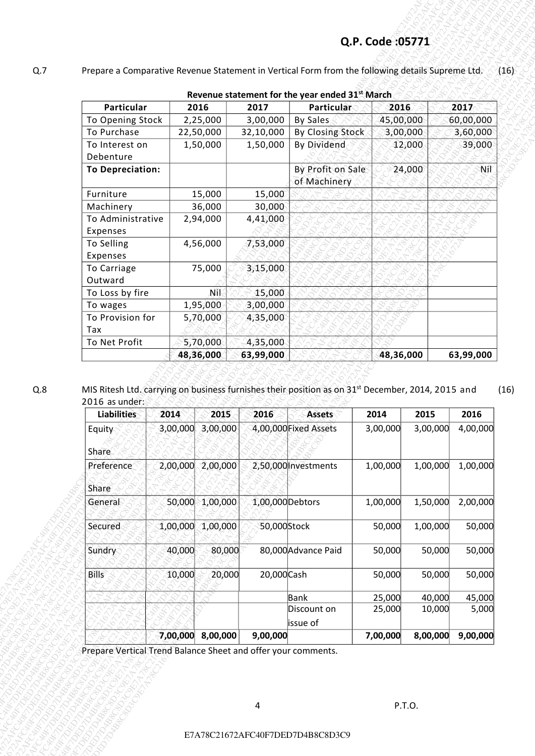# **Q.P. Code :05771**

#### Q.7 Prepare a Comparative Revenue Statement in Vertical Form from the following details Supreme Ltd. (16)

|                                |          |                     |                  |                                                                                                               |          |           |          | Prepare a Comparative Revenue Statement in Vertical Form from the following details Supreme Ltd. |
|--------------------------------|----------|---------------------|------------------|---------------------------------------------------------------------------------------------------------------|----------|-----------|----------|--------------------------------------------------------------------------------------------------|
|                                |          |                     |                  | Revenue statement for the year ended 31 <sup>st</sup> March                                                   |          |           |          |                                                                                                  |
| Particular                     |          | 2016                | 2017             | Particular                                                                                                    |          | 2016      |          | 2017                                                                                             |
| To Opening Stock               |          | 2,25,000            | 3,00,000         | By Sales                                                                                                      |          | 45,00,000 |          | 60,00,000                                                                                        |
| To Purchase                    |          | 22,50,000           | 32,10,000        | By Closing Stock                                                                                              |          | 3,00,000  |          | 3,60,000                                                                                         |
| To Interest on<br>Debenture    |          | 1,50,000            | 1,50,000         | <b>By Dividend</b>                                                                                            |          | 12,000    |          | 39,000                                                                                           |
| <b>To Depreciation:</b>        |          |                     |                  | By Profit on Sale                                                                                             |          | 24,000    |          | Nil                                                                                              |
|                                |          |                     |                  | of Machinery                                                                                                  |          |           |          |                                                                                                  |
| Furniture                      |          | 15,000<br>36,000    | 15,000<br>30,000 |                                                                                                               |          |           |          |                                                                                                  |
| Machinery<br>To Administrative |          | 2,94,000            | 4,41,000         |                                                                                                               |          |           |          |                                                                                                  |
| Expenses                       |          |                     |                  |                                                                                                               |          |           |          |                                                                                                  |
| To Selling                     |          | 4,56,000            | 7,53,000         |                                                                                                               |          |           |          |                                                                                                  |
| Expenses                       |          |                     |                  |                                                                                                               |          |           |          |                                                                                                  |
| To Carriage<br>Outward         |          | 75,000              | 3,15,000         |                                                                                                               |          |           |          |                                                                                                  |
| To Loss by fire                |          | .Nîk                | 15,000           |                                                                                                               |          |           |          |                                                                                                  |
| To wages                       |          | 1,95,000            | 3,00,000         |                                                                                                               |          |           |          |                                                                                                  |
| To Provision for<br>Tax        |          | 5,70,000            | 4,35,000         |                                                                                                               |          |           |          |                                                                                                  |
| To Net Profit                  |          | 5,70,000            | 4,35,000         |                                                                                                               |          |           |          |                                                                                                  |
|                                |          |                     |                  |                                                                                                               |          |           |          |                                                                                                  |
| 2016 as under:                 |          | 48,36,000           | 63,99,000        | MIS Ritesh Ltd. carrying on business furnishes their position as on 31 <sup>st</sup> December, 2014, 2015 and |          | 48,36,000 |          |                                                                                                  |
| Liabilities                    | 2014     | 2015                | 2016             | <b>Assets</b>                                                                                                 | 2014     | 2015      |          | 2016                                                                                             |
| Equity                         |          | 3,00,000 3,00,000   |                  | 4,00,000 Fixed Assets                                                                                         | 3,00,000 |           | 3,00,000 |                                                                                                  |
| Share                          |          |                     |                  |                                                                                                               |          |           |          |                                                                                                  |
| Preference                     |          | 2,00,000 2,00,000   |                  | 2,50,000 Investments                                                                                          | 1,00,000 |           | 1,00,000 |                                                                                                  |
|                                |          |                     |                  |                                                                                                               |          |           |          |                                                                                                  |
| Share<br>General               |          | 50,000 1,00,000     | 1,00,000 Debtors |                                                                                                               | 1,00,000 |           | 1,50,000 |                                                                                                  |
|                                |          |                     |                  |                                                                                                               |          |           |          |                                                                                                  |
| Secured                        | 1,00,000 | 1,00,000            | 50,000Stock      |                                                                                                               | 50,000   |           | 1,00,000 | 63,99,000<br>4,00,000<br>1,00,000<br>2,00,000<br>50,000                                          |
| Sundry                         | 40,000   | 80,000              |                  | 80,000 Advance Paid                                                                                           | 50,000   |           | 50,000   | 50,000                                                                                           |
| <b>Bills</b>                   | 10,000   | 20,000              | 20,000 Cash      |                                                                                                               | 50,000   |           | 50,000   |                                                                                                  |
|                                |          |                     |                  | <b>Bank</b>                                                                                                   | 25,000   |           | 40,000   |                                                                                                  |
|                                |          |                     |                  | Discount on                                                                                                   | 25,000   |           | 10,000   | 50,000<br>45,000<br>5,000                                                                        |
|                                |          | $7,00,000$ 8,00,000 | 9,00,000         | issue of                                                                                                      | 7,00,000 |           | 8,00,000 | 9,00,000                                                                                         |

| <b>Liabilities</b> | 2014     | 2015     | 2016             | <b>Assets</b>         | 2014     | 2015     | 2016     |
|--------------------|----------|----------|------------------|-----------------------|----------|----------|----------|
| Equity             | 3,00,000 | 3,00,000 |                  | 4,00,000 Fixed Assets | 3,00,000 | 3,00,000 | 4,00,000 |
| Share              |          |          |                  |                       |          |          |          |
| Preference         | 2,00,000 | 2,00,000 |                  | 2,50,000 Investments  | 1,00,000 | 1,00,000 | 1,00,000 |
| Share              |          |          |                  |                       |          |          |          |
| General            | 50,000   | 1,00,000 | 1,00,000 Debtors |                       | 1,00,000 | 1,50,000 | 2,00,000 |
| <b>Secured</b>     | 1,00,000 | 1,00,000 | 50,000Stock      |                       | 50,000   | 1,00,000 | 50,000   |
| Sundry             | 40,000   | 80,000   |                  | 80,000 Advance Paid   | 50,000   | 50,000   | 50,000   |
| <b>Bills</b>       | 10,000   | 20,000   | 20,000 Cash      |                       | 50,000   | 50,000   | 50,000   |
|                    |          |          |                  | Bank                  | 25,000   | 40,000   | 45,000   |
|                    |          |          |                  | Discount on           | 25,000   | 10,000   | 5,000    |
|                    |          |          |                  | issue of              |          |          |          |
|                    | 7,00,000 | 8,00,000 | 9,00,000         |                       | 7,00,000 | 8,00,000 | 9,00,000 |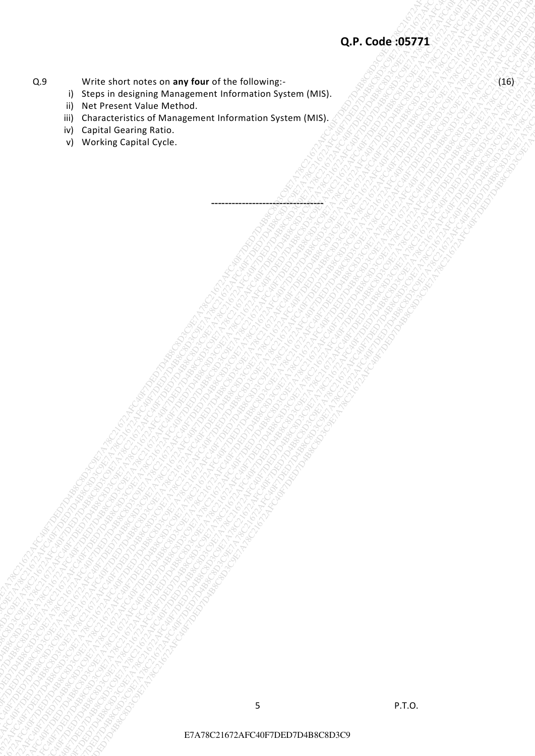## **Q.9** Write short notes on any four of the following:- (16)

- i) Steps in designing Management Information System (MIS).
- ii) Net Present Value Method.
- exare inter and promptured utility bility contain the company contain the company contain the company contain the company contain the company contain the company contain the company contain the company contain the company EXAPY IN EXAPTUATION STATISTIC CONTROLLED CONTROLLED CONTROLLED CONTROLLED CONTROLLED CONTROLLED CONTROLLED CONTROLLED CONTROLLED CONTROLLED CONTROLLED CONTROLLED CONTROLLED CONTROLLED CONTROLLED CONTROLLED CONTROLLED CONT Exarge of the choice choice choice choice choice choice choice choice choice choice choice choice choice choice choice choice choice choice choice choice choice choice choice choice choice choice choice choice choice choic  $R = 0$ <br>  $R = 0$ <br>  $R = 0$  For a construction of a management with realized systems whereas<br>  $R = 0$  For a construction of a management with realized systems.<br>  $R = 0$  For a construction of a management with realized systems, a E7A78C21672AFC40F7DED7D4B8C8D3C9E7A78C21672AFC40F7DED7D4B8C8D3C9E7A78C21672AFC40F7DED7D4B8C8D3C9E7A78C21672AFC40F7DED7D4B8C8D3C9E7A78C21672AFC40F7DED7D4B8C8D3C9E7A78C21672AFC40F7DED7D4B8C8D3C9 EXAPY THREE REGISTERS OF DEFINITION CONTRACT THE CONTRACT THE CONTRACT THE CONTRACT THE CONTRACT THE CONTRACT THE CONTRACT THE CONTRACT THE CONTRACT THE CONTRACT THE CONTRACT THE CONTRACT THE CONTRACT THE CONTRACT THE CONT EXAPTER MOUTHERS OF MANY CHECK ON ANY TOUR CONTROL CONTROL CONTROL CONTROL CONTROL CONTROL CONTROL CONTROL CONTROL CONTROL CONTROL CONTROL CONTROL CONTROL CONTROL CONTROL CONTROL CONTROL CONTROL CONTROL CONTROL CONTROL CON EXAPTER MOUTHERS OF MANY CHECK ON ANY TOUR CONTROL CONTROL CONTROL CONTROL CONTROL CONTROL CONTROL CONTROL CONTROL CONTROL CONTROL CONTROL CONTROL CONTROL CONTROL CONTROL CONTROL CONTROL CONTROL CONTROL CONTROL CONTROL CON EXAPTER MOUTHERS OF MANY CHECK ON ANY TOUR CONTROL CONTROL CONTROL CONTROL CONTROL CONTROL CONTROL CONTROL CONTROL CONTROL CONTROL CONTROL CONTROL CONTROL CONTROL CONTROL CONTROL CONTROL CONTROL CONTROL CONTROL CONTROL CON EXAPTER MOUTHERS OF MANY CHECK ON ANY TOUR CONTROL CONTROL CONTROL CONTROL CONTROL CONTROL CONTROL CONTROL CONTROL CONTROL CONTROL CONTROL CONTROL CONTROL CONTROL CONTROL CONTROL CONTROL CONTROL CONTROL CONTROL CONTROL CON EXAPTER MOUTHERS OF MANY CHECK ON ANY TOUR CONTROL CONTROL CONTROL CONTROL CONTROL CONTROL CONTROL CONTROL CONTROL CONTROL CONTROL CONTROL CONTROL CONTROL CONTROL CONTROL CONTROL CONTROL CONTROL CONTROL CONTROL CONTROL CON EXAPTER MOUTHERS OF MANY CHECK ON ANY TOUR CONTROL CONTROL CONTROL CONTROL CONTROL CONTROL CONTROL CONTROL CONTROL CONTROL CONTROL CONTROL CONTROL CONTROL CONTROL CONTROL CONTROL CONTROL CONTROL CONTROL CONTROL CONTROL CON EXAPY AFTER AFTAILING DEFINITION OF MATTING INTERNATIONAL CONTROL CONTROL CONTROL CONTROL CONTROL CONTROL CONTROL CONTROL CONTROL CONTROL CONTROL CONTROL CONTROL CONTROL CONTROL CONTROL CONTROL CONTROL CONTROL CONTROL CONT E7A78C21672AFC40F7DED7D4B8C8D3C9E7A78C21672AFC40F7DED7D4B8C8D3C9E7A78C21672AFC40F7DED7D4B8C8D3C9E7A78C21672AFC40F7DED7D4B8C8D3C9E7A78C21672AFC40F7DED7D4B8C8D3C9E7A78C21672AFC40F7DED7D4B8C8D3C9 EXAPY AFTER CHARLON BETWEEN CHARLON BETWEEN CHARLON BETWEEN CHARLON BETWEEN CHARLON BETWEEN CHARLON BETWEEN CHARLON BETWEEN CHARLON BETWEEN CHARLON BETWEEN CHARLON BETWEEN CHARLON BETWEEN CHARLON BETWEEN CHARLON BETWEEN CH EXAPY AFT COLORENT COMPANY AFT DEFANCE COMPANY AFT DEFANCE COMPANY AFT DEFANITION OF THE COMPANY AFT DEFANITION OF THE COMPANY AFT DEFANITION OF THE COMPANY AFT DEFANITION OF THE COMPANY AFT DEFANITION OF THE COMPANY AFT D EXAPY SUNTAIN THIS CORPORATION CONTROLLER CONTROLLER CONTROLLER CONTROLLER CONTROLLER CONTROLLER CONTROLLER CONTROLLER CONTROLLER CONTROLLER CONTROLLER CONTROLLER CONTROLLER CONTROLLER CONTROLLER CONTROLLER CONTROLLER CONT E7A78C21672AFC40F7DED7D4B8C8D3C9E7A78C21672AFC40F7DED7D4B8C8D3C9E7A78C21672AFC40F7DED7D4B8C8D3C9E7A78C21672AFC40F7DED7D4B8C8D3C9E7A78C21672AFC40F7DED7D4B8C8D3C9E7A78C21672AFC40F7DED7D4B8C8D3C9 E7A78C21672AFC40F7DED7D4B8C8D3C9E7A78C21572AFC40F7DED7D4B8C8D3C9E7A78C2152AFC40F7DED7D4B8C8D3C9E7A78C2157AFC40FC40F7DED7D4B8C8D3C9E7A78C21672AFC40FC40F7DED7D4B8C8D3C9E7A78C2167A78C2167D4AFC40FC40F7DED7D4B8C8D3C9E7A78C2167D E7A78C21672AFC40FC40FC40F7DED7D4B8C8D3C9E7AFC40FC40F7DED7D4B8C8D3C9E7AFC40F1DED7D4B8C8D3C9E7AFC40FC40F7DED7D4B8C8D3C9E7AFC40FC40F7D4B8C8D3C9E7AFC40FC40F7D4B8C8D3C9E7A78C21672AFC40FC40F7D4B8C8D3C9E7A78C21672AFC40FC40F7D4B8C iii) Characteristics of Management Information System (MIS).

---------------------------------

- iv) Capital Gearing Ratio.
- v) Working Capital Cycle.

E7A78C21672AFC40F7DED7D4B8C8D3C9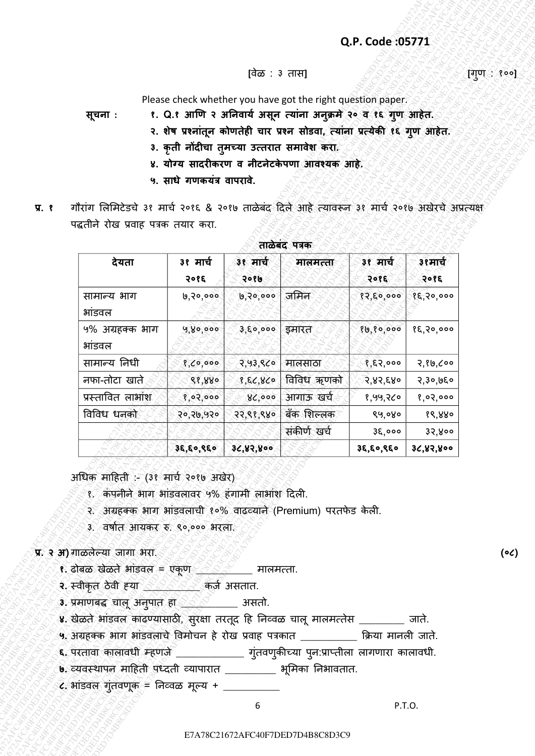- **सचना ू : १. Q.१ आणि २ अननवार्य असन तर्ाांना अन ू क्रमे ु २० व १६ गि आहेत. ु**
	- **२. शेष प्रशनाांतन कोितेही चार प्रशन सोडवा, तर्ाांना प्रतर्ेकी ू १६ गि आहेत. ु**
	- **३. कृती नोंदीचा तमच्र्ा उततरात समावेश करा. ु**
	- ४. योग्य सादरीकरण व नीटनेटकेपणा आवश्यक आहे.
	- **५. साधे गिकर्ांत्र वापरावे.**
- **प्र. १** गौरांग लिमिटेडचे ३१ मार्च २०१६ & २०१७ ताळेबंद दिले आहे त्यावरून ३१ मार्च २०१७ अखेरचे अप्रत्यक्ष पद्धतीने रोख प्रवाह पत्रक तयार करा.

|                                                                                                                                                       |                           |                  |                                                                             | Q.P. Code: 05771      |                 |
|-------------------------------------------------------------------------------------------------------------------------------------------------------|---------------------------|------------------|-----------------------------------------------------------------------------|-----------------------|-----------------|
|                                                                                                                                                       |                           | [वेळ : ३ तास]    |                                                                             |                       |                 |
|                                                                                                                                                       |                           |                  | Please check whether you have got the right question paper.                 |                       |                 |
| सूचना :                                                                                                                                               |                           |                  | १. Q.१ आणि २ अनिवार्य असून त्यांना अनुक्रमे २० व १६ गुण आहेत.               |                       |                 |
|                                                                                                                                                       |                           |                  | २. शेष प्रश्नांतून कोणतेही चार प्रश्न सोडवा, त्यांना प्रत्येकी १६ गुण आहेत. |                       |                 |
|                                                                                                                                                       |                           |                  | 3. कृती नोंदीचा तुमच्या उत्तरात समावेश करा.                                 |                       |                 |
|                                                                                                                                                       |                           |                  | ४. योग्य सादरीकरण व नीटनेटकेपणा आवश्यक आहे.                                 |                       |                 |
|                                                                                                                                                       | ५. साधे गणकयंत्र वापरावे. |                  |                                                                             |                       |                 |
| गौरांग लिमिटेडचे ३१ मार्च २०१६ & २०१७ ताळेबंद दिले आहे त्यावरून ३१ मार्च २०१७ अखेरचे अप्रत्यक्ष                                                       |                           |                  |                                                                             |                       |                 |
| पद्धतीने रोख प्रवाह पत्रक तयार करा.                                                                                                                   |                           |                  |                                                                             |                       |                 |
|                                                                                                                                                       |                           |                  | ताळेबंद पत्रक                                                               |                       |                 |
| देयता                                                                                                                                                 | ३१ मार्च<br>२०१६          | ३१ मार्च<br>२०१७ | मालमत्ता                                                                    | ३१ मार्च<br>२०१६      | ३१मार्च<br>२०१६ |
| सामान्य भाग                                                                                                                                           | 6,20,000                  | 9,20,000         | जमिन                                                                        | 82,50,000             | १६,२०,०००       |
| भांडवल                                                                                                                                                |                           |                  |                                                                             |                       |                 |
| ५% अग्रहक्क भाग<br>भांडवल                                                                                                                             | 9,80,000                  | ३,६०,००० इमारत   |                                                                             | $80,80,000$ 82,20,000 |                 |
| सामान्य निधी                                                                                                                                          | 8,00,000                  |                  | २,५३,९८० मालसाठा                                                            | १,६२,०००              | २,१७,८००        |
| नफा-तोटा खाते                                                                                                                                         | 88,880                    |                  | १,६८,४८० विविध ऋणको                                                         | २,४२,६४०              | २,३०,७६०        |
| प्रस्तावित लाभांश                                                                                                                                     | 8,02,000                  |                  | ४८,००० आगाऊ खर्च                                                            | १,५५,२८०              | 8,02,000        |
| विविध धनको                                                                                                                                            | 50,30,930                 |                  | २२,९१,९४० बँक शिल्लक                                                        | ९५,०४०                | १९,४४०          |
|                                                                                                                                                       |                           |                  | संकीर्ण खर्च                                                                | $3\xi,$ 000           | ३२,४००          |
|                                                                                                                                                       | 36, 60, 860               | 36,82,800        |                                                                             | 38, 60, 860           | ३८,४२,४००       |
| अधिक माहिती :- (३१ मार्च २०१७ अखेर)                                                                                                                   |                           |                  |                                                                             |                       |                 |
| १. कंपनीने भाग भांडवलावर ५% हंगामी लाभांश दिली.<br>२. अग्रहक्क भाग भांडवलाची १०% वाढव्याने (Premium) परतफेड केली.<br>3. वर्षात आयकर रु. ९०,००० भरला.  |                           |                  |                                                                             |                       |                 |
| प्र. २ अ) गाळलेल्या जागा भरा.                                                                                                                         |                           |                  |                                                                             |                       |                 |
| <b>१.</b> ढोबळ खेळते आंडवल = एकूण <u>२००० - प्रा</u> तनाता.                                                                                           |                           |                  |                                                                             |                       |                 |
| २. स्वीकृत ठेवी हया <u>२००० २०</u> कर्ज असतात.                                                                                                        |                           |                  |                                                                             |                       |                 |
| <b>3.</b> प्रमाणबद्ध चालू अनुपात हा $\leq$ $\leq$ $\leq$ 31सतो.<br>४. खेळते भांडवल काढण्यासाठी, सुरक्षा तरतूद हि निव्वळ चालू मालमत्तेस ________ जाते. |                           |                  |                                                                             |                       |                 |
| ५. अग्रहक्क भाग भांडवलाचे विमोचन हे रोख प्रवाह पत्रकात __________ क्रिया मानली जाते.                                                                  |                           |                  |                                                                             |                       |                 |
| ६. परतावा कालावधी म्हणजे _____________ गुंतवणुकीच्या पुन:प्राप्तीला लागणारा कालावधी.                                                                  |                           |                  |                                                                             |                       |                 |
| ७. व्यवस्थापन माहिती पध्दती व्यापारात ________ भूमिका निभावतात.                                                                                       |                           |                  |                                                                             |                       |                 |
| ८. भांडवल गुंतवणूक = निव्वळ मूल्य + __________                                                                                                        |                           |                  |                                                                             |                       |                 |

### **ताळेबांद पत्रक**

- <u>१. ढोबळ खेळते भांडवल = एकूण ������</u> मालमत्ता.
- **२.** स्वीकृत ठȯवी ह्या \_\_\_\_\_\_\_\_\_\_ कजच असतात.
- **३. प्रेमाणबद्ध चालू अनुपात हा <u>२००० प</u>्रांसतो.**
- ४. खेळते भांडवल काढण्यासाठी, सुरक्षा तरतूद हि निव्वळ चालू मालमत्तेस \_\_\_\_\_\_\_\_ जाते.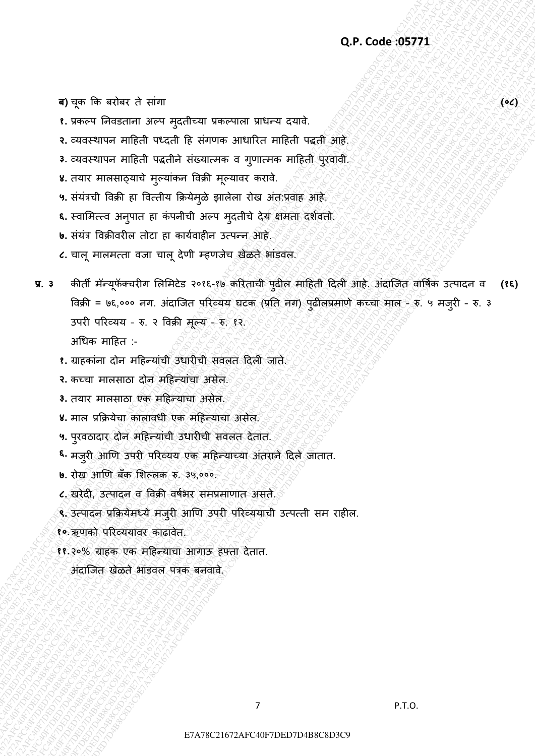ब) चूक कि बरोबर ते सांगा *(०८) के बरोबर त*े सांगा करने कर स्वीकार करने कर स्वीकार करने कर स्वीकार कर स्वीकार क

- **१.** प्रकल्प निवडताना अल्प म्**दतीच्या प्रकल्पाला प्राधन्य दयावे**.
- **२.** व्यवस्थापन माहिती पध्दती हि संगणक आधारित माहिती पद्धती आहे.
- 3. व्यवस्थापन माहिती पद्धतीने संख्यात्मक व ग्**णात्मक माहिती प्**रवावी.
- **४.** तयार मालसाठ्याचे मुल्यांकन विक्री मूल्यावर करावे.
- **५.** संयंत्रची विक्री हा वित्तीय क्रियेम्**ळे झालेला रोख अंत:प्रवाह आहे.**
- ६. स्वामित्त्व अनुपात हा कंपनीची अल्प मुदतीचे देय क्षमता दर्शवतो.
- **७.** संयंत्र विक्रीवरील तोटा हा कार्यवाहीन उत्पन्न आहे.
- **८.** चालू मालमत्ता वजा चालू देणी म्हणजेच खेळते भांडवल.
- Q.P. Code 05771<br>
C accredited rather airchite entired ratios with the set of a<br>
c accredited rather discrete ratios agents at the set of accredited ratios of the<br>
c accredited rather discrete ratios and the set of accredi Q.P. Code 95771<br>  $\Phi$  7 C<sub>2</sub> France Research and the control measurements where a state of the control minicipal street of the control minicipal street of the control minicipal street of the control minicipal street of th **Q.P. Code :95771**<br> **E7.** There is because the set of the set of the set of the set of the set of the set of the set of the set of the set of the set of the set of the set of the set of the set of the set of the set of th Q.P. Code: 35771<br>
E. verte interest in and spalmed vertement intered cent.<br>
2. constructed military state in and spalmed vertement in all-off-state deviations<br>
2. constructed military of the spanne of a sympathetic partic **C<sub>1</sub>P. Code: (55771**<br>
Exarge for school and more specifical interaction and more contaction<br>
c constraints with the constraint of the street and the station and interaction<br>
c interaction and is determined by the station Q, P. Code (85771<br>
E. versco for summit a proper application verscount outer a ratio,<br>
E. versco for summit and agents and agents and are contained and a<br>
L. versco for summit and a summit and a streame and<br>
L. versco for Q.P. Code : 55771<br>
example with respect Property and the diverse of the content and the state of the diverse state of the state of the diverse state of the state of the state of the state of the state of the state of the Q.P. Code : 55771<br>
example with respect Property and the diverse of the content and the state of the diverse state of the state of the diverse state of the state of the state of the state of the state of the state of the Q.P. Code : 55771<br>
example with respect Property and the diverse of the content and the state of the diverse state of the state of the diverse state of the state of the state of the state of the state of the state of the Q.P. Code : 55771<br>
example with respect Property and the diverse of the content and the state of the diverse state of the state of the diverse state of the state of the state of the state of the state of the state of the Q.P. Code : 55771<br>
example with respect Property and the diverse of the content and the state of the diverse state of the state of the diverse state of the state of the state of the state of the state of the state of the Q.P. Code : 55771<br>
example with respect Property and the diverse of the content and the state of the diverse state of the state of the diverse state of the state of the state of the state of the state of the state of the Q.P. Code : 55771<br>
exacts frames some regulators are some regulators and control and in the solution in the solution of the solution of the first transition of the solution of the solution of the solution of the solution Q.P. Code :05771<br>
C. There is because a reflect once the system content of the system of the system of the system of the system of the system of the system of the system of the system of the system of the system of the sy **C** $P$ . Graves for exacts of the matrix of the space of the space of the space of the space of the space of the space of the space of the space of the space of the space of the space of the space of the space of the space E7A78C21672AFC40F7DED7D4B8C8D3C9E7A78C21672AFC40F7DED7D4B8C8D3C9E7A78C21672AFC40F7DED7D4B8C8D3C9E7A78C21672AFC40F7DED7D4B8C8D3C9E7A78C21672AFC40F7DED7D4B8C8D3C9E7A78C21672AFC40F7DED7D4B8C8D3C9 Q.P. Code 195771<br>
1. over Persons the regular or events when such a region of the state of the state subset of the state subset of the state of the state of the state of the state of the state of the state of the state of Q.P. Code:35771<br>  $\Phi$  78 FC F7 BREESTAT AFR FREED CHEVROLET UNIVERSITY and C = cycles = cycles = cycles = cycles = cycles = cycles = cycles = cycles = cycles = cycles = cycles = cycles = cycles = cycles = cycles = cycles **Q.P. Code: 35771**<br> **E** 7. Pricel Description (Pricel of ex-view article critical variable critical critical critical critical critical critical critical critical critical critical critical critical critical critical crit Q.P. Code 25771<br>
E years for example a very explorer very exact interal case<br>
2. controller a fight of code in chemical case of symmetric and also<br>
3. controller a large transformation of the controller and also<br>
we defin प्र. 3 कीर्ती मॅन्यूफॅक्चरीग लिमिटेड २०१६-१७ करिताची पुढील माहिती दिली आहे. अंदाजित वार्षिक उत्पादन व विक्री = ७६,००० नग. अंदाजित परिव्यय घटक (प्रति नग) पुढीलप्रमाणे कच्चा माल - इ. ५ मजुरी - रु. ३ उपरी परिव्यय - रु. २ विक्री मुल्य - रु. १२. **(१६)**  $\overline{\mathcal{F}}$ अधिक माहित :-
	- १. ग्राहकांना दोन महिन्यांची उधारीची सवलत दिली जाते.
	- २. कच्चा मालसाठा दोन महिन्यांचा असेल.
	- **३.** तयार मालसाठा एक महिन्याचा असेल.
	- **४.** िाि प्रक्रियȯचा कािावधी एक िदहन्याचा असȯि.
	- **५.** पुरवठादार दोन महिन्याची उधारीची सवलत देतात.
	- **<sup>६.</sup> मजुरी आणि उपरी परिव्यय एक महिन्याच्या अंतराने दिले जातात.**
	- **७.** रोख आणि बँक शिल्लक रु. ३५,०००.
	- ८. खरेदी, उत्पादन व विक्री वर्षभर समप्रमाणात असते.
	- ९. उत्पादन प्रक्रियेमध्ये मजुरी आणि उपरी परिव्ययाची उत्पत्ती सम राहील.
	- **१०.**ऋणकȪ पररव्ययावर काढावȯत.
	- **११.२०% ग्राहक एक महिन्याचा आगाऊ हफ्ता देतात.**

अंदाजित खेळते भांडवल पत्रक बनवावे.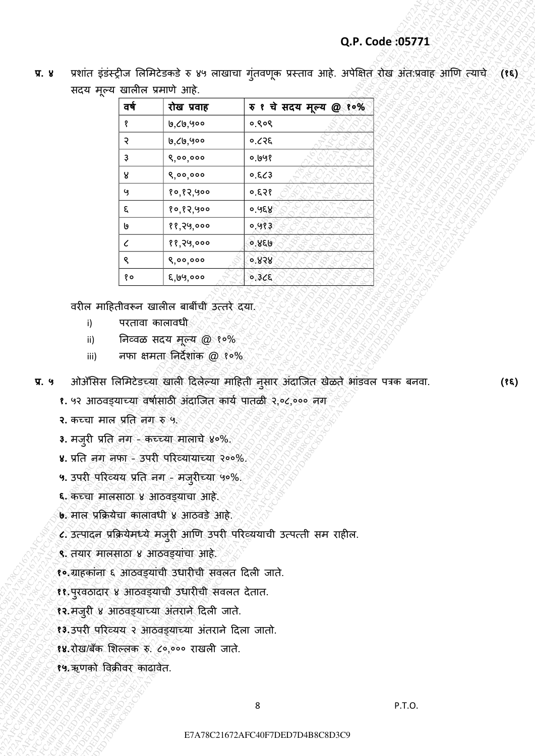| प्र. ४         |                             |                                                                                                                                                                                                                                                                                                                                                                                                             |                                                                                                                                              | प्रशांत इंडंस्ट्रीज लिमिटेडकडे रु ४५ लाखाचा गुंतवणूक प्रस्ताव आहे. अपेक्षित रोख अंतःप्रवाह आणि त्याचे (१६) |  |
|----------------|-----------------------------|-------------------------------------------------------------------------------------------------------------------------------------------------------------------------------------------------------------------------------------------------------------------------------------------------------------------------------------------------------------------------------------------------------------|----------------------------------------------------------------------------------------------------------------------------------------------|------------------------------------------------------------------------------------------------------------|--|
|                |                             | सदय मूल्य खालील प्रमाणे आहे.                                                                                                                                                                                                                                                                                                                                                                                |                                                                                                                                              |                                                                                                            |  |
|                | वर्ष                        | रोख प्रवाह                                                                                                                                                                                                                                                                                                                                                                                                  | रु १ चे सदय मूल्य @ १०%                                                                                                                      |                                                                                                            |  |
|                |                             | ७,८७,५००                                                                                                                                                                                                                                                                                                                                                                                                    | ०.९०९                                                                                                                                        |                                                                                                            |  |
|                | २                           | ७,८७,५००                                                                                                                                                                                                                                                                                                                                                                                                    | ०.८२६                                                                                                                                        |                                                                                                            |  |
|                | З                           | 8,00,000                                                                                                                                                                                                                                                                                                                                                                                                    | 0.698                                                                                                                                        |                                                                                                            |  |
|                | ୪                           | 8,00,000                                                                                                                                                                                                                                                                                                                                                                                                    | 6,8,3                                                                                                                                        |                                                                                                            |  |
|                | Y                           | १०,१२,५००                                                                                                                                                                                                                                                                                                                                                                                                   | 953.0                                                                                                                                        |                                                                                                            |  |
|                | ξ                           | १०,१२,५००                                                                                                                                                                                                                                                                                                                                                                                                   | ०.५६४                                                                                                                                        |                                                                                                            |  |
|                | ს                           | ११,२५,०००                                                                                                                                                                                                                                                                                                                                                                                                   | 0.983                                                                                                                                        |                                                                                                            |  |
|                | $\epsilon$                  | ११,२५,०००                                                                                                                                                                                                                                                                                                                                                                                                   | ०.४६७                                                                                                                                        |                                                                                                            |  |
|                | ९<br>१०                     | 8,00,000<br>६,७५,०००                                                                                                                                                                                                                                                                                                                                                                                        | 0.858<br>0.32E                                                                                                                               |                                                                                                            |  |
|                |                             | वरील माहितीवरून खालील बाबींची उत्तरे दया.                                                                                                                                                                                                                                                                                                                                                                   |                                                                                                                                              |                                                                                                            |  |
| i)             |                             | परतावा कालावधी                                                                                                                                                                                                                                                                                                                                                                                              |                                                                                                                                              |                                                                                                            |  |
| ii)            |                             | निव्वळ सदय मूल्य @ १०%                                                                                                                                                                                                                                                                                                                                                                                      |                                                                                                                                              |                                                                                                            |  |
| iii)<br>प्र. ५ | २. कच्चा माल प्रति नग रु ५. | नफा क्षमता निर्देशांक @ १०%                                                                                                                                                                                                                                                                                                                                                                                 | ओॲसिस लिमिटेडच्या खाली दिलेल्या माहिती नुसार अंदाजित खेळते भांडवल पत्रक बनवा.<br>१. ५२ आठवड्याच्या वर्षासाठी अंदाजित कार्य पातळी २,०८,००० नग |                                                                                                            |  |
|                |                             | 3. मजुरी प्रति नग - कच्च्या मालाचे ४०%.<br>४. प्रति नग नफा - उपरी परिव्यायाच्या २००%.<br>५. उपरी परिव्यय प्रति नग - मजुरीच्या ५०%.<br>६. कच्चा मालसाठा ४ आठवड्याचा आहे.<br>6. माल प्रक्रियेचा कालावधी ४ आठवडे आहे.<br>९. तयार मालसाठा ४ आठवड्यांचा आहे.<br>१० ग्राहकांना ६ आठवड्यांची उधारीची सवलत दिली जाते.<br>११.पुरवठादार ४ आठवड्याची उधारीची सवलत देतात.<br>१२. मजुरी ४ आठवड्याच्या अंतराने दिली जाते. | ८. उत्पादन प्रक्रियेमध्ये मजुरी आणि उपरी परिव्ययाची उत्पत्ती सम राहील.                                                                       |                                                                                                            |  |
|                |                             | १३.उपरी परिव्यय २ आठवड्याच्या अंतराने दिला जातो.                                                                                                                                                                                                                                                                                                                                                            |                                                                                                                                              |                                                                                                            |  |
|                |                             | १४. रोख/बँक शिल्लक रु. ८०,००० राखली जाते.                                                                                                                                                                                                                                                                                                                                                                   |                                                                                                                                              |                                                                                                            |  |
|                | १५.ऋणको विक्रीवर काढावेत.   |                                                                                                                                                                                                                                                                                                                                                                                                             |                                                                                                                                              |                                                                                                            |  |
|                |                             |                                                                                                                                                                                                                                                                                                                                                                                                             |                                                                                                                                              |                                                                                                            |  |

- i) परतावा कालावधी
- ii) निव्वळ सदय मूल्य @ १०%
- iii) निका क्षमता निर्देशांक @ १०%
- **प्र. ५** ओअॅलसस लिलिटȯडच्या खािी ददिȯल्या िादहती नसार अांदाजजत खȯळतȯ भाांडवि पत्रक बनवा. ु **(१६)**

- **२.** कच्चा माल प्रति नग रु ५.
- 3. मजुरी प्रति नग कच्च्या मालाचे ४०%.
- **४.** प्रनत नग नफा उपरी पररव्यायाच्या २००%.
- **५.** उपरी पररव्यय प्रनत नग िजुरीच्या ५०%.
- **६.** कच्चा मालसाठा ४ आठवडयाचा आहे.
- **७.** माल प्रक्रियेचा कालावधी ४ आठवडे आहे.
- ८. उत्पादन प्रक्रियेमध्ये मज़्री आणि उपरी परिव्ययाची उत्पत्ती सम राहील.
- ९. तयार मालसाठा ४ आठवड्यांचा आहे.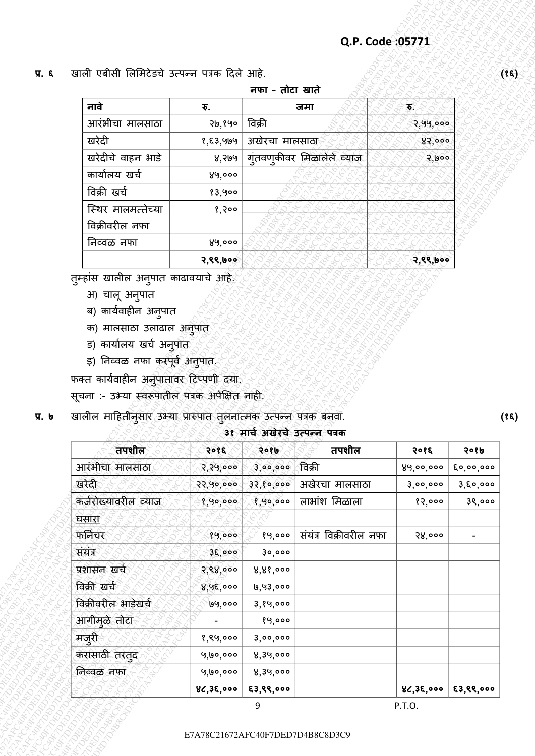|                    |          | नफा - तोटा खाते            |          |
|--------------------|----------|----------------------------|----------|
| नावे               | ₹.       | जमा                        | €        |
| आरंभीचा मालसाठा    | २७,१५०   | विक्री                     | २,५५,००० |
| खरेदी              | १,६३,५७५ | अखेरचा मालसाठा             | 85,000   |
| खरेदीचे वाहन भाडे  | ४,२७५    | गुंतवण्कीवर मिळालेले व्याज | २,७००    |
| कार्यालय खर्च      | ४५,०००   |                            |          |
| विक्री खर्च        | १३,५००   |                            |          |
| स्थिर मालमत्तेच्या | 8,900    |                            |          |
| विक्रीवरील नफा     |          |                            |          |
| निव्वळ नफा         | ४५,०००   |                            |          |
|                    | २,९९,७०० |                            | २,९९,७०० |

- अ) चालू अनुपात
- ब) कार्यवाहीन अनुपात
- क) मालसाठा उलाढाल अनुपात
- ड) कार्यालय खर्च अनु<u>प</u>ात
- इ) निव्वळ नफा करपूर्व अनुपात.

- सूचना :- उभ्या स्वरूपातील पत्रक अपेक्षित नाही.
- प्र. ७ खालील माहितीनुसार उभ्या प्रारुपात तुलनात्मक उत्पन्न पत्रक बनवा.

## **३१ माचय अखेरचे उतपन्न पत्रक**

| नावे                                                                                                                       | ₹.        | नफा - तोटा खाते | जमा                           | $\mathbf{\overline{v}}$ |                          |
|----------------------------------------------------------------------------------------------------------------------------|-----------|-----------------|-------------------------------|-------------------------|--------------------------|
| आरंभीचा मालसाठा                                                                                                            | 70,890    | विक्री          |                               | २,५५,०००                |                          |
| खरेदी                                                                                                                      | १,६३,५७५  | अखेरचा मालसाठा  |                               | 85,000                  |                          |
| खरेदीचे वाहन भाडे                                                                                                          | ४,२७५     |                 | गुंतवणुकीवर मिळालेले व्याज    | 3,000                   |                          |
| कार्यालय खर्च                                                                                                              | ४५,०००    |                 |                               |                         |                          |
| विक्री खर्च                                                                                                                | १३,५००    |                 |                               |                         |                          |
| स्थिर मालमत्तेच्या                                                                                                         | १,२००     |                 |                               |                         |                          |
| विक्रीवरील नफा                                                                                                             |           |                 |                               |                         |                          |
| निव्वळ नफा                                                                                                                 | ४५,०००    |                 |                               |                         |                          |
|                                                                                                                            | २,९९,७००  |                 |                               | २,९९,७००                |                          |
| क) मालसाठा उलाढाल अनुपात<br>ड) कार्यालय खर्च अनु <u>प</u> ोत्                                                              |           |                 |                               |                         |                          |
| इ) निव्वळ नफा करपूर्व अनुपात.<br>फक्त कार्यवाहीन अनुपातांवर टिप्पणी दया.<br>सूचना :- उभ्या स्वरूपातील पत्रक अपेक्षित नाही. |           |                 |                               |                         |                          |
| खालील माहितीनुसार उभ्या प्रारुपात तुलनात्मक उत्पन्न पत्रक बनवा.                                                            |           |                 | ३१ मार्च अखेरचे उत्पन्न पत्रक |                         |                          |
| तपशील                                                                                                                      | २०१६      | २०१७            | तपशील                         | २०१६                    | २०१७                     |
| आरंभीचा मालसाठा                                                                                                            | २,२५,०००  | 3,00,000        | विक्री                        | ४५,००,०००               | $\xi$ o, oo, ooo         |
| खरेदी                                                                                                                      | २२,५०,००० | 32, 80, 000     | अखेरचा मालसाठा                | 3,00,000                | 3,80,000                 |
| कर्जरोख्यावरील व्याज                                                                                                       | १,५०,०००  | 8,90,000        | लाभांश मिळाला                 | 82,000                  | ३९,०००                   |
| <u>घसारा</u>                                                                                                               |           |                 |                               |                         |                          |
| फर्निचर                                                                                                                    | १५,०००    | 89,000          | संयंत्र विक्रीवरील नफा        | 58,000                  | $\overline{\phantom{a}}$ |
| संयंत्र                                                                                                                    | 38,000    | 30,000          |                               |                         |                          |
| प्रशासन खर्च                                                                                                               | २,९४,०००  | 8,88,000        |                               |                         |                          |
| विक्री खर्च                                                                                                                | ४,५६,०००  | ७,५३,०००        |                               |                         |                          |
| विक्रीवरील भाडेखर्च                                                                                                        | ७७,०००    | 3,89,000        |                               |                         |                          |
| आगीमुळे तोटा                                                                                                               |           | 89,000          |                               |                         |                          |
| मजुरी                                                                                                                      | 8,89,000  | 3,00,000        |                               |                         |                          |
| करासाठी तरतुद                                                                                                              | ५,७०,०००  | ४,३५,०००        |                               |                         |                          |
| निव्वळ नफा                                                                                                                 | ५,७०,०००  | ४,३५,०००        |                               |                         |                          |